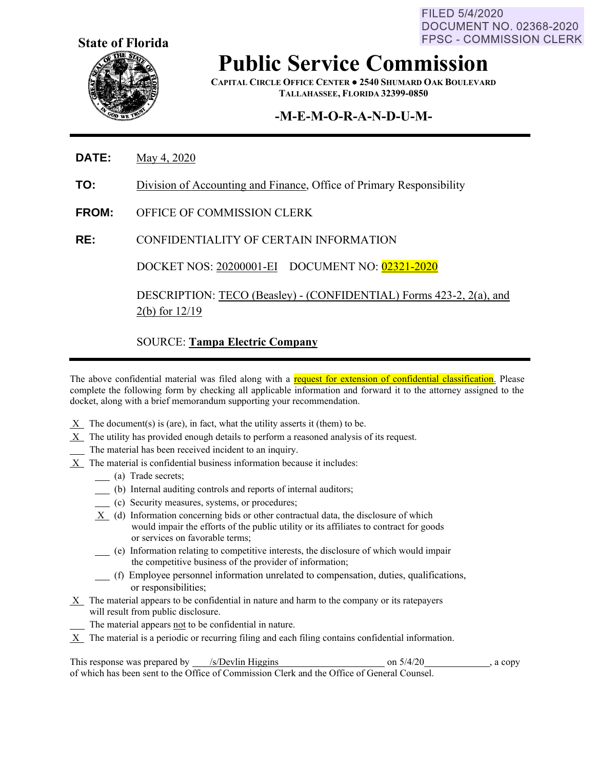FILED 5/4/2020 DOCUMENT NO. 02368-2020 **FPSC - COMMISSION CLERK** 



# **Public Service Commission**

**CAPITAL CIRCLE OFFICE CENTER ● 2540 SHUMARD OAK BOULEVARD TALLAHASSEE, FLORIDA 32399-0850**

### **-M-E-M-O-R-A-N-D-U-M-**

- **DATE:** May 4, 2020
- **TO:** Division of Accounting and Finance, Office of Primary Responsibility
- **FROM:** OFFICE OF COMMISSION CLERK
- **RE:** CONFIDENTIALITY OF CERTAIN INFORMATION

DOCKET NOS: 20200001-EI DOCUMENT NO: 02321-2020

DESCRIPTION: TECO (Beasley) - (CONFIDENTIAL) Forms 423-2, 2(a), and 2(b) for 12/19

### SOURCE: **Tampa Electric Company**

The above confidential material was filed along with a request for extension of confidential classification. Please complete the following form by checking all applicable information and forward it to the attorney assigned to the docket, along with a brief memorandum supporting your recommendation.

- $X$  The document(s) is (are), in fact, what the utility asserts it (them) to be.
- $X$  The utility has provided enough details to perform a reasoned analysis of its request.
- The material has been received incident to an inquiry.
- X The material is confidential business information because it includes:
	- (a) Trade secrets;
	- (b) Internal auditing controls and reports of internal auditors;
	- (c) Security measures, systems, or procedures;
	- X (d) Information concerning bids or other contractual data, the disclosure of which would impair the efforts of the public utility or its affiliates to contract for goods or services on favorable terms;
	- (e) Information relating to competitive interests, the disclosure of which would impair the competitive business of the provider of information;
	- (f) Employee personnel information unrelated to compensation, duties, qualifications, or responsibilities;
- X The material appears to be confidential in nature and harm to the company or its ratepayers will result from public disclosure.
- The material appears not to be confidential in nature.
- $X$  The material is a periodic or recurring filing and each filing contains confidential information.

This response was prepared by  $\sqrt{s/D}$  /s/Devlin Higgins on 5/4/20 , a copy of which has been sent to the Office of Commission Clerk and the Office of General Counsel.